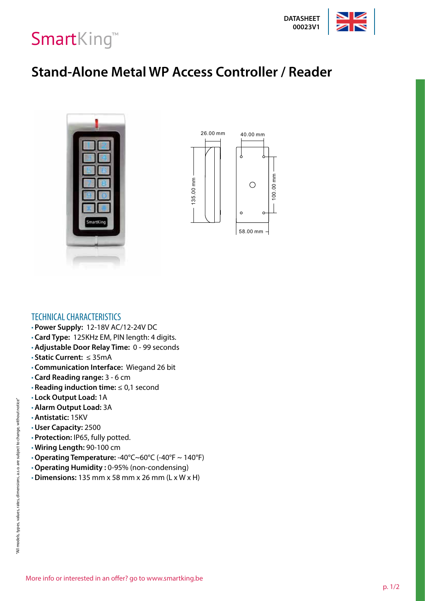



·Protective properties: IP65 fully-potted

·Up to 1,200 users (Zone 1:1,100 users & Zone 2:100 users)

·Support 3 Modes Access: Card, PIN, Card+PIN

·Card Type: 125KHz EM, PIN length: 4-6 digits

·Operating Voltage: 12-18V AC/12-24V DC ·Support door bell connection (Zone 2)

W1-A: Metal waterproof access control for two doors.

W3-A: Metal waterproof access control for two doors.

W1-B,W1-C, W3-B,W3-C: Metal waterproof access control for single door.

·High Speed Search: filled with 1,200 users, the search time < 0.1 seconds

·Very low power consumption ( ≤35mA), long service life and stable performance

·With anti-demolition alarm function, anti-static interference 15KV

·Application for High-Security Places: warehouses, banks, prisons, etc

#### **Stand-Alone Metal WP Access Controller / Reader** ·Metal structure, anti-vandal, more secure , waterproof design





## TECHNICAL CHARACTERISTICS

- **Power Supply:** 12-18V AC/12-24V DC
- **Card Type:** 125KHz EM, PIN length: 4 digits.
- **Adjustable Door Relay Time:** 0 99 seconds
- **Static Current:** ≤ 35mA
- **Communication Interface:** Wiegand 26 bit
- **Card Reading range:** 3 6 cm
- **Reading induction time:** ≤ 0,1 second
- **Lock Output Load:** 1A
- **Alarm Output Load:** 3A
- **Antistatic:** 15KV
- **User Capacity:** 2500
- **Protection:** IP65, fully potted.
- **Wiring Length:** 90-100 cm
- **Operating Temperature:** -40°C~60°C (-40°F ~ 140°F)
- **Operating Humidity :** 0-95% (non-condensing)
- **Dimensions:** 135 mm x 58 mm x 26 mm (L x W x H)